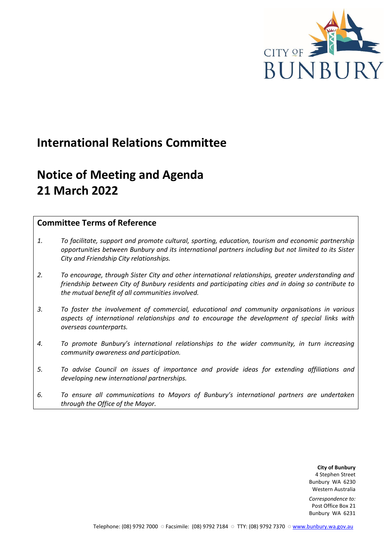

# **International Relations Committee**

# **Notice of Meeting and Agenda 21 March 2022**

## **Committee Terms of Reference**

- *1. To facilitate, support and promote cultural, sporting, education, tourism and economic partnership opportunities between Bunbury and its international partners including but not limited to its Sister City and Friendship City relationships.*
- *2. To encourage, through Sister City and other international relationships, greater understanding and friendship between City of Bunbury residents and participating cities and in doing so contribute to the mutual benefit of all communities involved.*
- *3. To foster the involvement of commercial, educational and community organisations in various aspects of international relationships and to encourage the development of special links with overseas counterparts.*
- *4. To promote Bunbury's international relationships to the wider community, in turn increasing community awareness and participation.*
- *5. To advise Council on issues of importance and provide ideas for extending affiliations and developing new international partnerships.*
- *6. To ensure all communications to Mayors of Bunbury's international partners are undertaken through the Office of the Mayor.*

**City of Bunbury** 4 Stephen Street Bunbury WA 6230 Western Australia

*Correspondence to:* Post Office Box 21 Bunbury WA 6231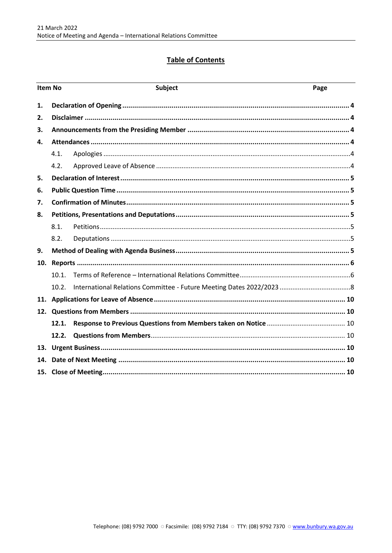## **Table of Contents**

| <b>Item No</b> |       | Subject | Page |
|----------------|-------|---------|------|
| 1.             |       |         |      |
| 2.             |       |         |      |
| 3.             |       |         |      |
| 4.             |       |         |      |
|                | 4.1.  |         |      |
|                | 4.2.  |         |      |
| 5.             |       |         |      |
| 6.             |       |         |      |
| 7.             |       |         |      |
| 8.             |       |         |      |
|                | 8.1.  |         |      |
|                | 8.2.  |         |      |
| 9.             |       |         |      |
| 10.            |       |         |      |
|                | 10.1. |         |      |
|                | 10.2. |         |      |
|                |       |         |      |
| 12.            |       |         |      |
|                | 12.1. |         |      |
|                | 12.2. |         |      |
| 13.            |       |         |      |
| 14.            |       |         |      |
|                |       |         |      |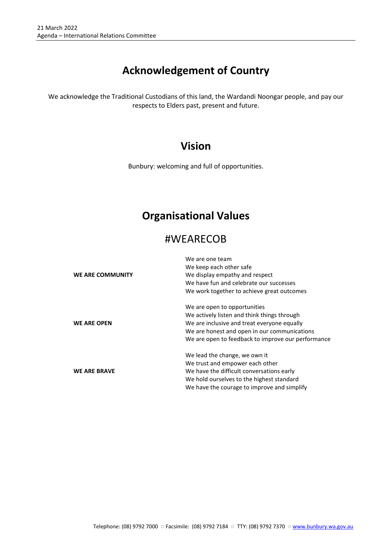## **Acknowledgement of Country**

We acknowledge the Traditional Custodians of this land, the Wardandi Noongar people, and pay our respects to Elders past, present and future.

## **Vision**

Bunbury: welcoming and full of opportunities.

## **Organisational Values**

## #WEARECOB

|                     | We are one team                                    |  |  |
|---------------------|----------------------------------------------------|--|--|
|                     | We keep each other safe                            |  |  |
| WE ARE COMMUNITY    | We display empathy and respect                     |  |  |
|                     | We have fun and celebrate our successes            |  |  |
|                     | We work together to achieve great outcomes         |  |  |
|                     | We are open to opportunities                       |  |  |
|                     | We actively listen and think things through        |  |  |
| <b>WE ARE OPEN</b>  | We are inclusive and treat everyone equally        |  |  |
|                     | We are honest and open in our communications       |  |  |
|                     | We are open to feedback to improve our performance |  |  |
|                     | We lead the change, we own it                      |  |  |
|                     | We trust and empower each other                    |  |  |
| <b>WE ARE BRAVE</b> | We have the difficult conversations early          |  |  |
|                     | We hold ourselves to the highest standard          |  |  |
|                     | We have the courage to improve and simplify        |  |  |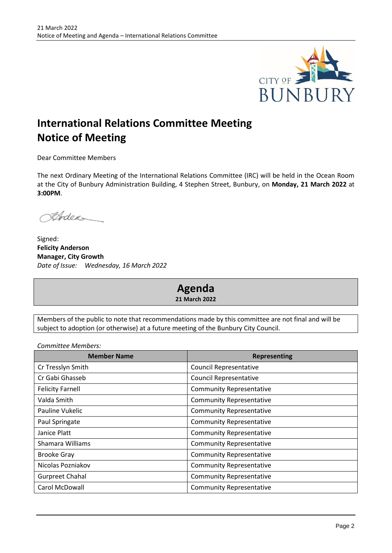

# **International Relations Committee Meeting Notice of Meeting**

Dear Committee Members

The next Ordinary Meeting of the International Relations Committee (IRC) will be held in the Ocean Room at the City of Bunbury Administration Building, 4 Stephen Street, Bunbury, on **Monday, 21 March 2022** at **3:00PM**.

Ander

Signed: **Felicity Anderson Manager, City Growth** *Date of Issue: Wednesday, 16 March 2022*

## **Agenda 21 March 2022**

Members of the public to note that recommendations made by this committee are not final and will be subject to adoption (or otherwise) at a future meeting of the Bunbury City Council.

*Committee Members:*

| <b>Member Name</b>      | <b>Representing</b>             |  |  |
|-------------------------|---------------------------------|--|--|
| Cr Tresslyn Smith       | <b>Council Representative</b>   |  |  |
| Cr Gabi Ghasseb         | <b>Council Representative</b>   |  |  |
| <b>Felicity Farnell</b> | <b>Community Representative</b> |  |  |
| Valda Smith             | <b>Community Representative</b> |  |  |
| Pauline Vukelic         | <b>Community Representative</b> |  |  |
| Paul Springate          | <b>Community Representative</b> |  |  |
| Janice Platt            | <b>Community Representative</b> |  |  |
| Shamara Williams        | <b>Community Representative</b> |  |  |
| <b>Brooke Gray</b>      | <b>Community Representative</b> |  |  |
| Nicolas Pozniakov       | <b>Community Representative</b> |  |  |
| <b>Gurpreet Chahal</b>  | <b>Community Representative</b> |  |  |
| Carol McDowall          | <b>Community Representative</b> |  |  |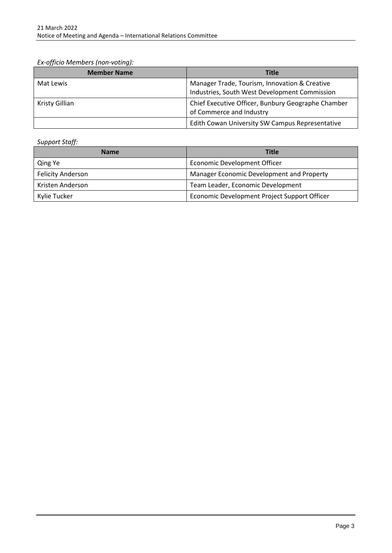*Ex-officio Members (non-voting):*

| <b>Member Name</b> | <b>Title</b>                                                                                   |
|--------------------|------------------------------------------------------------------------------------------------|
| Mat Lewis          | Manager Trade, Tourism, Innovation & Creative<br>Industries, South West Development Commission |
| Kristy Gillian     | Chief Executive Officer, Bunbury Geographe Chamber<br>of Commerce and Industry                 |
|                    | Edith Cowan University SW Campus Representative                                                |

*Support Staff:*

| <b>Name</b>              | <b>Title</b>                                 |
|--------------------------|----------------------------------------------|
| Qing Ye                  | <b>Economic Development Officer</b>          |
| <b>Felicity Anderson</b> | Manager Economic Development and Property    |
| Kristen Anderson         | Team Leader, Economic Development            |
| Kylie Tucker             | Economic Development Project Support Officer |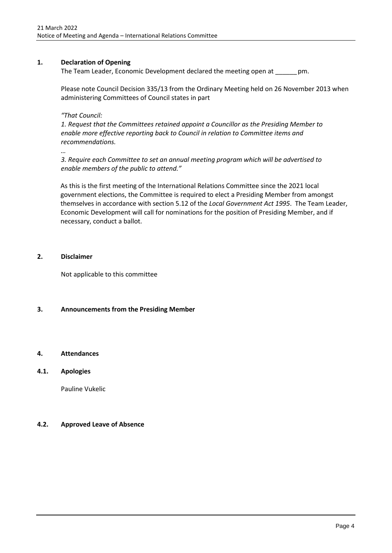## <span id="page-5-0"></span>**1. Declaration of Opening**

The Team Leader, Economic Development declared the meeting open at \_\_\_\_\_\_pm.

Please note Council Decision 335/13 from the Ordinary Meeting held on 26 November 2013 when administering Committees of Council states in part

*"That Council:* 

*1. Request that the Committees retained appoint a Councillor as the Presiding Member to enable more effective reporting back to Council in relation to Committee items and recommendations.* 

*…*

*3. Require each Committee to set an annual meeting program which will be advertised to enable members of the public to attend."*

As this is the first meeting of the International Relations Committee since the 2021 local government elections, the Committee is required to elect a Presiding Member from amongst themselves in accordance with section 5.12 of the *Local Government Act 1995*. The Team Leader, Economic Development will call for nominations for the position of Presiding Member, and if necessary, conduct a ballot.

### <span id="page-5-1"></span>**2. Disclaimer**

Not applicable to this committee

## <span id="page-5-2"></span>**3. Announcements from the Presiding Member**

## <span id="page-5-3"></span>**4. Attendances**

## <span id="page-5-4"></span>**4.1. Apologies**

Pauline Vukelic

## <span id="page-5-5"></span>**4.2. Approved Leave of Absence**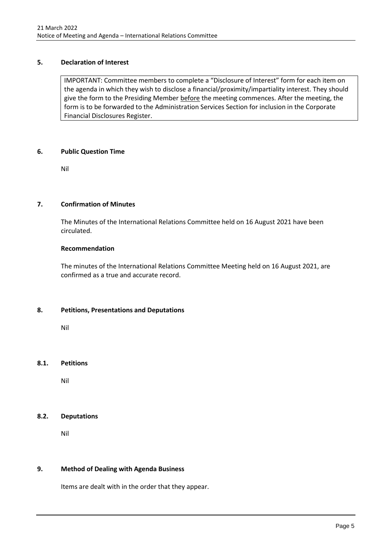## <span id="page-6-0"></span>**5. Declaration of Interest**

IMPORTANT: Committee members to complete a "Disclosure of Interest" form for each item on the agenda in which they wish to disclose a financial/proximity/impartiality interest. They should give the form to the Presiding Member before the meeting commences. After the meeting, the form is to be forwarded to the Administration Services Section for inclusion in the Corporate Financial Disclosures Register.

#### <span id="page-6-1"></span>**6. Public Question Time**

Nil

## <span id="page-6-2"></span>**7. Confirmation of Minutes**

The Minutes of the International Relations Committee held on 16 August 2021 have been circulated.

### **Recommendation**

The minutes of the International Relations Committee Meeting held on 16 August 2021, are confirmed as a true and accurate record.

## <span id="page-6-3"></span>**8. Petitions, Presentations and Deputations**

Nil

## <span id="page-6-4"></span>**8.1. Petitions**

Nil

## <span id="page-6-5"></span>**8.2. Deputations**

Nil

## <span id="page-6-6"></span>**9. Method of Dealing with Agenda Business**

Items are dealt with in the order that they appear.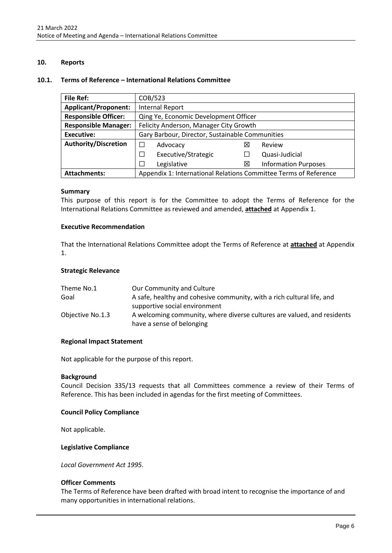## <span id="page-7-0"></span>**10. Reports**

#### <span id="page-7-1"></span>**10.1. Terms of Reference – International Relations Committee**

| <b>File Ref:</b>            | COB/523                                                          |   |                             |  |
|-----------------------------|------------------------------------------------------------------|---|-----------------------------|--|
| <b>Applicant/Proponent:</b> | <b>Internal Report</b>                                           |   |                             |  |
| <b>Responsible Officer:</b> | Qing Ye, Economic Development Officer                            |   |                             |  |
| <b>Responsible Manager:</b> | Felicity Anderson, Manager City Growth                           |   |                             |  |
| <b>Executive:</b>           | Gary Barbour, Director, Sustainable Communities                  |   |                             |  |
| <b>Authority/Discretion</b> | $\Box$<br>Advocacy                                               | ⋈ | Review                      |  |
|                             | Executive/Strategic<br>П                                         |   | Quasi-Judicial              |  |
|                             | Legislative<br>$\Box$                                            | ⊠ | <b>Information Purposes</b> |  |
| <b>Attachments:</b>         | Appendix 1: International Relations Committee Terms of Reference |   |                             |  |

#### **Summary**

This purpose of this report is for the Committee to adopt the Terms of Reference for the International Relations Committee as reviewed and amended, **attached** at Appendix 1.

#### **Executive Recommendation**

That the International Relations Committee adopt the Terms of Reference at **attached** at Appendix 1.

#### **Strategic Relevance**

| Theme No.1       | Our Community and Culture                                               |
|------------------|-------------------------------------------------------------------------|
| Goal             | A safe, healthy and cohesive community, with a rich cultural life, and  |
|                  | supportive social environment                                           |
| Objective No.1.3 | A welcoming community, where diverse cultures are valued, and residents |
|                  | have a sense of belonging                                               |

#### **Regional Impact Statement**

Not applicable for the purpose of this report.

#### **Background**

Council Decision 335/13 requests that all Committees commence a review of their Terms of Reference. This has been included in agendas for the first meeting of Committees.

#### **Council Policy Compliance**

Not applicable.

#### **Legislative Compliance**

*Local Government Act 1995.*

#### **Officer Comments**

The Terms of Reference have been drafted with broad intent to recognise the importance of and many opportunities in international relations.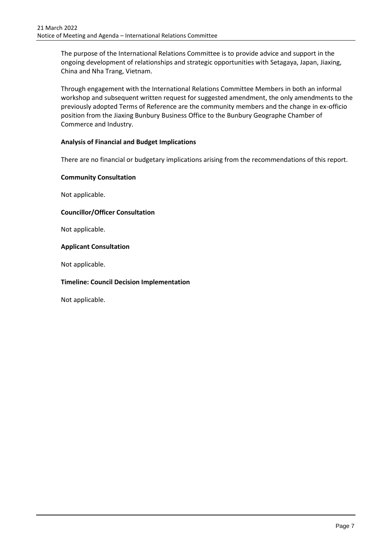The purpose of the International Relations Committee is to provide advice and support in the ongoing development of relationships and strategic opportunities with Setagaya, Japan, Jiaxing, China and Nha Trang, Vietnam.

Through engagement with the International Relations Committee Members in both an informal workshop and subsequent written request for suggested amendment, the only amendments to the previously adopted Terms of Reference are the community members and the change in ex-officio position from the Jiaxing Bunbury Business Office to the Bunbury Geographe Chamber of Commerce and Industry.

## **Analysis of Financial and Budget Implications**

There are no financial or budgetary implications arising from the recommendations of this report.

## **Community Consultation**

Not applicable.

## **Councillor/Officer Consultation**

Not applicable.

## **Applicant Consultation**

Not applicable.

## **Timeline: Council Decision Implementation**

Not applicable.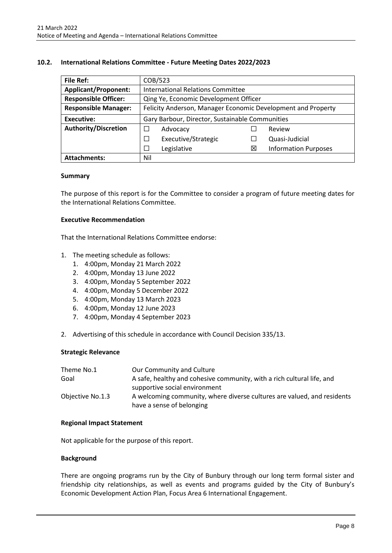### <span id="page-9-0"></span>**10.2. International Relations Committee - Future Meeting Dates 2022/2023**

| <b>File Ref:</b>            | COB/523                                                      |   |                             |
|-----------------------------|--------------------------------------------------------------|---|-----------------------------|
| <b>Applicant/Proponent:</b> | <b>International Relations Committee</b>                     |   |                             |
| <b>Responsible Officer:</b> | Qing Ye, Economic Development Officer                        |   |                             |
| <b>Responsible Manager:</b> | Felicity Anderson, Manager Economic Development and Property |   |                             |
| Executive:                  | Gary Barbour, Director, Sustainable Communities              |   |                             |
| <b>Authority/Discretion</b> | Advocacy                                                     |   | Review                      |
|                             | Executive/Strategic<br>⊔                                     |   | Quasi-Judicial              |
|                             | Legislative<br>$\mathbf{L}$                                  | ⊠ | <b>Information Purposes</b> |
| <b>Attachments:</b>         | Nil                                                          |   |                             |

#### **Summary**

The purpose of this report is for the Committee to consider a program of future meeting dates for the International Relations Committee.

#### **Executive Recommendation**

That the International Relations Committee endorse:

- 1. The meeting schedule as follows:
	- 1. 4:00pm, Monday 21 March 2022
	- 2. 4:00pm, Monday 13 June 2022
	- 3. 4:00pm, Monday 5 September 2022
	- 4. 4:00pm, Monday 5 December 2022
	- 5. 4:00pm, Monday 13 March 2023
	- 6. 4:00pm, Monday 12 June 2023
	- 7. 4:00pm, Monday 4 September 2023
- 2. Advertising of this schedule in accordance with Council Decision 335/13.

#### **Strategic Relevance**

| Theme No.1       | Our Community and Culture                                               |
|------------------|-------------------------------------------------------------------------|
| Goal             | A safe, healthy and cohesive community, with a rich cultural life, and  |
|                  | supportive social environment                                           |
| Objective No.1.3 | A welcoming community, where diverse cultures are valued, and residents |
|                  | have a sense of belonging                                               |

#### **Regional Impact Statement**

Not applicable for the purpose of this report.

#### **Background**

There are ongoing programs run by the City of Bunbury through our long term formal sister and friendship city relationships, as well as events and programs guided by the City of Bunbury's Economic Development Action Plan, Focus Area 6 International Engagement.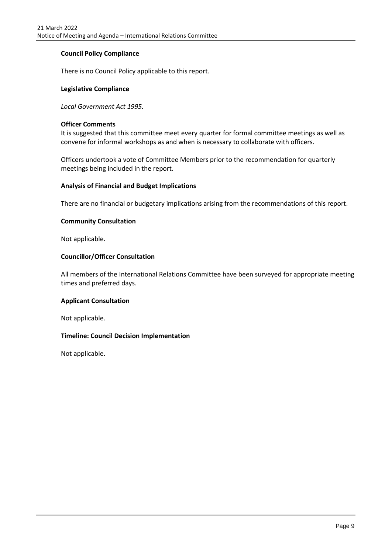## **Council Policy Compliance**

There is no Council Policy applicable to this report.

#### **Legislative Compliance**

*Local Government Act 1995.*

#### **Officer Comments**

It is suggested that this committee meet every quarter for formal committee meetings as well as convene for informal workshops as and when is necessary to collaborate with officers.

Officers undertook a vote of Committee Members prior to the recommendation for quarterly meetings being included in the report.

#### **Analysis of Financial and Budget Implications**

There are no financial or budgetary implications arising from the recommendations of this report.

#### **Community Consultation**

Not applicable.

#### **Councillor/Officer Consultation**

All members of the International Relations Committee have been surveyed for appropriate meeting times and preferred days.

#### **Applicant Consultation**

Not applicable.

#### **Timeline: Council Decision Implementation**

Not applicable.